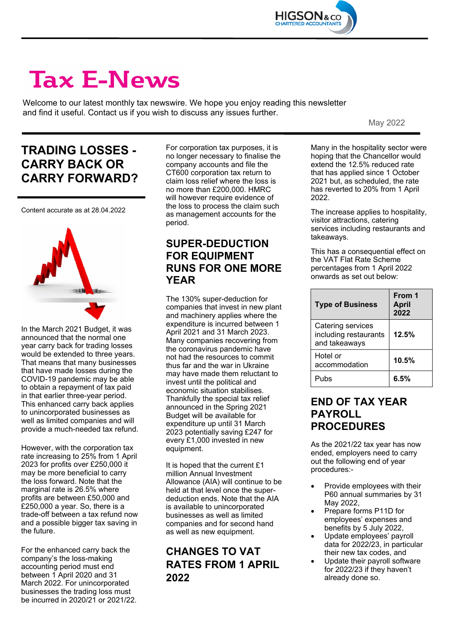

# **Tax E-News**

Welcome to our latest monthly tax newswire. We hope you enjoy reading this newsletter and find it useful. Contact us if you wish to discuss any issues further.

May 2022

# **TRADING LOSSES - CARRY BACK OR CARRY FORWARD?**

Content accurate as at 28.04.2022



In the March 2021 Budget, it was announced that the normal one year carry back for trading losses would be extended to three years. That means that many businesses that have made losses during the COVID-19 pandemic may be able to obtain a repayment of tax paid in that earlier three-year period. This enhanced carry back applies to unincorporated businesses as well as limited companies and will provide a much-needed tax refund.

However, with the corporation tax rate increasing to 25% from 1 April 2023 for profits over £250,000 it may be more beneficial to carry the loss forward. Note that the marginal rate is 26.5% where profits are between £50,000 and £250,000 a year. So, there is a trade-off between a tax refund now and a possible bigger tax saving in the future.

For the enhanced carry back the company's the loss-making accounting period must end between 1 April 2020 and 31 March 2022. For unincorporated businesses the trading loss must be incurred in 2020/21 or 2021/22.

For corporation tax purposes, it is no longer necessary to finalise the company accounts and file the CT600 corporation tax return to claim loss relief where the loss is no more than £200,000. HMRC will however require evidence of the loss to process the claim such as management accounts for the period.

#### **SUPER-DEDUCTION FOR EQUIPMENT RUNS FOR ONE MORE YEAR**

The 130% super-deduction for companies that invest in new plant and machinery applies where the expenditure is incurred between 1 April 2021 and 31 March 2023. Many companies recovering from the coronavirus pandemic have not had the resources to commit thus far and the war in Ukraine may have made them reluctant to invest until the political and economic situation stabilises. Thankfully the special tax relief announced in the Spring 2021 Budget will be available for expenditure up until 31 March 2023 potentially saving £247 for every £1,000 invested in new equipment.

It is hoped that the current £1 million Annual Investment Allowance (AIA) will continue to be held at that level once the superdeduction ends. Note that the AIA is available to unincorporated businesses as well as limited companies and for second hand as well as new equipment.

### **CHANGES TO VAT RATES FROM 1 APRIL 2022**

Many in the hospitality sector were hoping that the Chancellor would extend the 12.5% reduced rate that has applied since 1 October 2021 but, as scheduled, the rate has reverted to 20% from 1 April 2022.

The increase applies to hospitality, visitor attractions, catering services including restaurants and takeaways.

This has a consequential effect on the VAT Flat Rate Scheme percentages from 1 April 2022 onwards as set out below:

| <b>Type of Business</b>                                     | From 1<br><b>April</b><br>2022 |
|-------------------------------------------------------------|--------------------------------|
| Catering services<br>including restaurants<br>and takeaways | 12.5%                          |
| Hotel or<br>accommodation                                   | 10.5%                          |
| Pubs                                                        | 6.5%                           |

#### **END OF TAX YEAR PAYROLL PROCEDURES**

As the 2021/22 tax year has now ended, employers need to carry out the following end of year procedures:-

- Provide employees with their P60 annual summaries by 31 May 2022,
- Prepare forms P11D for employees' expenses and benefits by 5 July 2022,
- Update employees' payroll data for 2022/23, in particular their new tax codes, and
- Update their payroll software for 2022/23 if they haven't already done so.